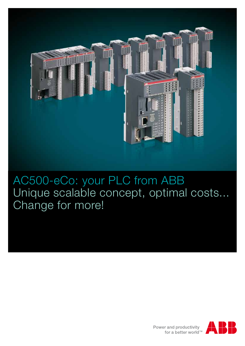

## AC500-eCo: your PLC from ABB Unique scalable concept, optimal costs... Change for more!

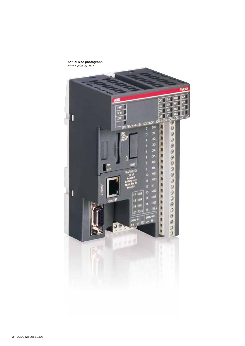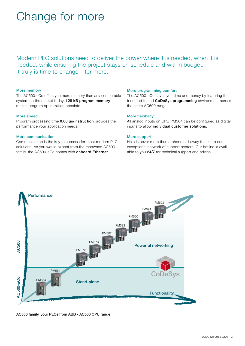## Change for more

Modern PLC solutions need to deliver the power where it is needed, when it is needed, while ensuring the project stays on schedule and within budget. It truly is time to change – for more.

#### More memory

The AC500-eCo offers you more memory than any comparable system on the market today. 128 kB program memory makes program optimization obsolete.

#### More speed

Program processing time 0.08  $\mu$ s/instruction provides the performance your application needs.

#### More communication

Communication is the key to success for most modern PLC solutions. As you would expect from the renowned AC500 family, the AC500-eCo comes with onboard Ethernet.

#### More programming comfort

The AC500-eCo saves you time and money by featuring the tried and tested CoDeSys programming environment across the entire AC500 range.

#### More flexibility

All analog inputs on CPU PM564 can be configured as digital inputs to allow individual customer solutions.

#### More support

Help is never more than a phone call away thanks to our exceptional network of support centers. Our hotline is available to you 24/7 for technical support and advice.



AC500 family, your PLCs from ABB - AC500 CPU range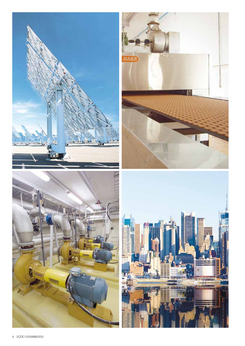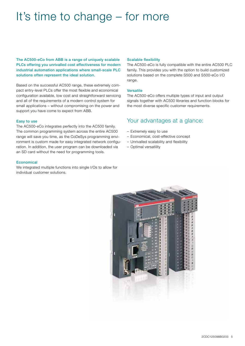## It's time to change – for more

The AC500-eCo from ABB is a range of uniquely scalable PLCs offering you unrivalled cost effectiveness for modern industrial automation applications where small-scale PLC solutions often represent the ideal solution.

Based on the successful AC500 range, these extremely compact entry-level PLCs offer the most flexible and economical configuration available, low cost and straightforward servicing and all of the requirements of a modern control system for small applications – without compromising on the power and support you have come to expect from ABB.

#### Easy to use

The AC500-eCo integrates perfectly into the AC500 family. The common programming system across the entire AC500 range will save you time, as the CoDeSys programming environment is custom made for easy integrated network configuration. In addition, the user program can be downloaded via an SD card without the need for programming tools.

#### **Economical**

We integrated multiple functions into single I/Os to allow for individual customer solutions.

#### Scalable flexibility

The AC500-eCo is fully compatible with the entire AC500 PLC family. This provides you with the option to build customized solutions based on the complete S500 and S500-eCo I/O range.

#### Versatile

The AC500-eCo offers multiple types of input and output signals together with AC500 libraries and function blocks for the most diverse specific customer requirements.

- Extremely easy to use
- Economical, cost-effective concept
- Unrivalled scalability and flexibility
- Optimal versatility

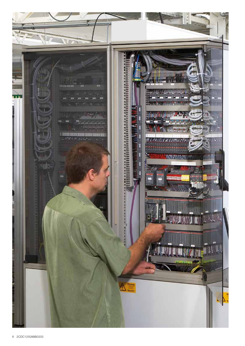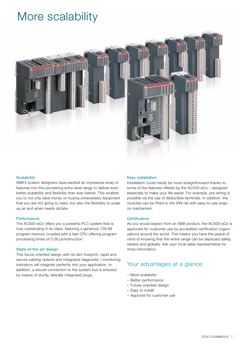## More scalability



#### **Scalability**

ABB's system designers have packed an impressive array of features into this pioneering entry-level range to deliver even better scalability and flexibility than ever before. This enables you to not only save money on buying unnecessary equipment that you are not going to need, but also the flexibility to scale up as and when needs dictate.

#### **Performance**

The AC500-eCo offers you a powerful PLC system that is truly outstanding in its class, featuring a generous 128 kB program memory coupled with a fast CPU offering program processing times of 0.08 µs/instruction.

#### State-of-the-art design

This future-oriented design with its slim footprint, rapid and secure cabling options and integrated diagnostic / monitoring indicators will integrate perfectly into your application. In addition, a secure connection to the system bus is ensured by means of sturdy, laterally integrated plugs.

#### Easy installation

Installation could hardly be more straightforward thanks to some of the features offered by the AC500-eCo – designed especially to make your life easier. For example, pre-wiring is possible via the use of deductible terminals. In addition, the modules can be fitted to the DIN rail with easy-to-use snapon mechanism.

#### **Certification**

As you would expect from an ABB product, the AC500-eCo is approved for customer use by accredited certification organizations around the world. This means you have the peace of mind of knowing that the entire range can be deployed safely, reliably and globally. Ask your local sales representative for more information.

- More scalability
- Better performance
- Future-oriented design
- Easy to install
- Approval for customer use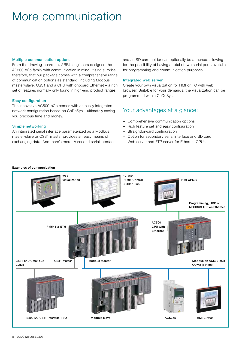# More communication

#### Multiple communication options

From the drawing-board up, ABB's engineers designed the AC500-eCo family with communication in mind. It's no surprise, therefore, that our package comes with a comprehensive range of communication options as standard, including Modbus master/slave, CS31 and a CPU with onboard Ethernet – a rich set of features normally only found in high-end product ranges.

#### Easy configuration

The innovative AC500-eCo comes with an easily integrated network configuration based on CoDeSys – ultimately saving you precious time and money.

#### Simple networking

An integrated serial interface parameterized as a Modbus master/slave or CS31 master provides an easy means of exchanging data. And there's more: A second serial interface and an SD card holder can optionally be attached, allowing for the possibility of having a total of two serial ports available for programming and communication purposes.

#### Integrated web server

Create your own visualization for HMI or PC with web browser. Suitable for your demands, the visualization can be programmed within CoDeSys.

### Your advantages at a glance:

- Comprehensive communication options
- Rich feature set and easy configuration
- Straightforward configuration
- Option for secondary serial interface and SD card
- Web server and FTP server for Ethernet CPUs



8 2CDC125098B0203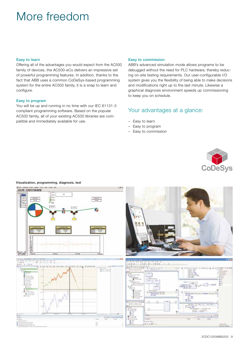## More freedom

#### Easy to learn

Offering all of the advantages you would expect from the AC500 family of devices, the AC500-eCo delivers an impressive set of powerful programming features. In addition, thanks to the fact that ABB uses a common CoDeSys-based programming system for the entire AC500 family, it is a snap to learn and configure.

#### Easy to program

You will be up and running in no time with our IEC 61131-3 compliant programming software. Based on the popular AC500 family, all of your existing AC500 libraries are compatible and immediately available for use.

#### Easy to commission

ABB's advanced simulation mode allows programs to be debugged without the need for PLC hardware, thereby reducing on-site testing requirements. Our user-configurable I/O system gives you the flexibility of being able to make decisions and modifications right up to the last minute. Likewise a graphical diagnosis environment speeds up commissioning to keep you on schedule.

### Your advantages at a glance:

- Easy to learn
- Easy to program
- Easy to commission





#### Visualization, programming, diagnosis, test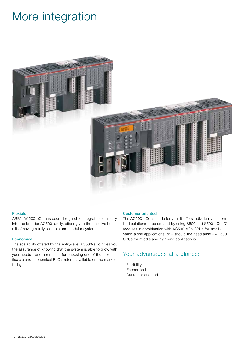## More integration



#### Flexible

ABB's AC500-eCo has been designed to integrate seamlessly into the broader AC500 family, offering you the decisive benefit of having a fully scalable and modular system.

#### **Economical**

The scalability offered by the entry-level AC500-eCo gives you the assurance of knowing that the system is able to grow with your needs – another reason for choosing one of the most flexible and economical PLC systems available on the market today.

#### Customer oriented

The AC500-eCo is made for you. It offers individually customized solutions to be created by using S500 and S500-eCo I/O modules in combination with AC500-eCo CPUs for small / stand-alone applications, or – should the need arise – AC500 CPUs for middle and high-end applications.

- Flexibility
- Economical
- Customer oriented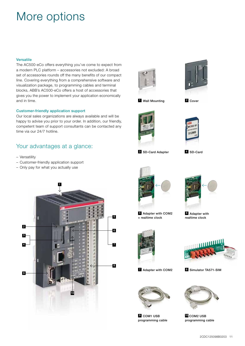## More options

#### Versatile

The AC500-eCo offers everything you've come to expect from a modern PLC platform – accessories not excluded: A broad set of accessories rounds off the many benefits of our compact line. Covering everything from a comprehensive software and visualization package, to programming cables and terminal blocks, ABB's AC500-eCo offers a host of accessories that gives you the power to implement your application economically and in time.

#### Customer-friendly application support

Our local sales organizations are always available and will be happy to advise you prior to your order. In addition, our friendly, competent team of support consultants can be contacted any time via our 24/7 hotline.

- Versatility
- Customer-friendly application support
- Only pay for what you actually use





1 Wall Mounting **2** Cover





2 Cover



8 SD-Card Adapter 4 SD-Card



5 Adapter with COM2 + realtime clock



**6** Adapter with realtime clock



**Adapter with COM2** 

8 Simulator TA571-SIM



 $9$  COM1 USB  $10$ programming cable



**10** COM2 USB programming cable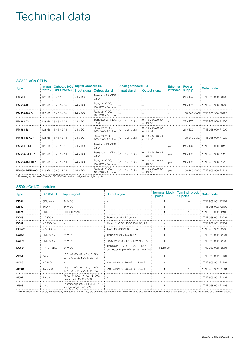## Technical data

#### AC500-eCo CPUs

| <b>Type</b>                     | memory |                      | Program   Onboard I/Os   Digital Onboard I/O |                                            | <b>Analog Onboard I/O</b> |                                      | <b>Ethernet Power</b>    |           |                                  |
|---------------------------------|--------|----------------------|----------------------------------------------|--------------------------------------------|---------------------------|--------------------------------------|--------------------------|-----------|----------------------------------|
|                                 |        |                      |                                              | DI/DO/AI/AO   Input signal   Output signal | Input signal              | Output signal                        | interface supply         |           | Order code                       |
| <b>PM554-T</b>                  | 128 kB | $\frac{1}{2}8/6/-/-$ | 24 V DC                                      | Transistor, 24 V DC,<br>0.5A               |                           |                                      |                          | 24 V DC   | 1TNE 968 900 R0100               |
| <b>PM554-R</b>                  | 128 kB | $\frac{1}{2}8/6/-/-$ | 24 V DC                                      | Relay, 24 V DC,<br>100-240 V AC, 2 A       |                           |                                      |                          | 24 V DC   | 1TNF 968 900 B0200               |
| <b>PM554-R-AC</b>               | 128 kB | $\frac{1}{2}8/6/-$   | 24 V DC                                      | Relay, 24 V DC,<br>100-240 V AC, 2 A       |                           |                                      | $\overline{\phantom{a}}$ |           | 100-240 V AC: 1TNF 968 900 B0220 |
| PM564-T*                        | 128 kB | 6/6/2/1              | 24 V DC                                      | Transistor, 24 V DC,<br>0.5A               | 010 V: 10 bits            | : 010 V. 020 mA.<br>$420 \text{ mA}$ |                          | : 24 V DC | 1TNF 968 900 B1100               |
| PM564-R*                        | 128 kB | 6/6/2/1              | 24 V DC                                      | Relay, 24 V DC,<br>100-240 V AC, 2 A       | 010 V: 10 bits            | : 010 V. 020 mA.<br>$420$ mA         |                          | 24 V DC   | 1TNF 968 900 B1200               |
| PM564-R-AC *                    | 128 kB | 6/6/2/1              | 24 V DC                                      | Relay, 24 V DC,<br>100-240 V AC, 2 A       | $010$ V: 10 bits          | : 010 V, 020 mA,<br>$420 \text{ mA}$ |                          |           | 100-240 V AC: 1TNF 968 900 B1220 |
| <b>PM554-T-ETH</b>              | 128 kB | $\frac{1}{2}8/6/-$   | 24 V DC                                      | Transistor, 24 V DC,<br>0.5A               |                           |                                      | ves                      | 24 V DC   | 1TNF 968 900 B0110               |
| <b>PM564-T-ETH *</b>            | 128 kB | 6/6/2/1              | 24 V DC                                      | Transistor, 24 V DC,<br>0.5A               | 010 V: 10 bits            | : 010 V. 020 mA.<br>$420 \text{ mA}$ | ves                      | 24 V DC   | 1TNF 968 900 B1110               |
| PM564-R-ETH *                   | 128 kB | 6/6/2/1              | 24 V DC                                      | Relay, 24 V DC,<br>100-240 V AC, 2 A       | 010 V: 10 bits            | : 010 V, 020 mA,<br>$420 \text{ mA}$ | ves                      | : 24 V DC | 1TNF 968 900 B1210               |
| <b>PM564-R-ETH-AC *: 128 kB</b> |        | 6/6/2/1              | <b>24 V DC</b>                               | Relay, 24 V DC,<br>100-240 V AC, 2 A       | 010 V: 10 bits            | 010 V, 020 mA,<br>$420$ mA           | ves                      |           | 100-240 V AC: 1TNE 968 900 R1211 |
|                                 |        |                      |                                              |                                            |                           |                                      |                          |           |                                  |

\* All analog inputs on AC500-eCo CPU PM564 can be configured as digital inputs.

#### S500-eCo I/O modules

| <b>Type</b>  | DI/DO/DC         | Input signal                                                            | Output signal                                                                   | <b>Terminal block</b><br>9 poles | <b>Terminal block</b><br>11 poles | Order code         |
|--------------|------------------|-------------------------------------------------------------------------|---------------------------------------------------------------------------------|----------------------------------|-----------------------------------|--------------------|
| DI561        | $BDI/-/-$        | 24 V DC                                                                 |                                                                                 |                                  |                                   | 1TNF 968 902 B2101 |
| DI562        | $16DI / - / -$   | 24 V DC                                                                 |                                                                                 |                                  |                                   | 1TNF 968 902 B2102 |
| DI571        | $BDI / - / -$    | 100-240 V AC                                                            |                                                                                 |                                  |                                   | 1TNF 968 902 B2103 |
| DO561        | $- / 8$ DO $/ -$ |                                                                         | Transistor, 24 V DC, 0.5 A                                                      |                                  |                                   | 1TNF 968 902 B2201 |
| DO571        | $- / 8$ DO $/ -$ |                                                                         | Relay, 24 V DC, 100-240 V AC, 2 A                                               |                                  |                                   | 1TNF 968 902 B2202 |
| DO572        | $- / 8$ DO $/ -$ |                                                                         | Triac. 100-240 V AC. 0.3 A                                                      |                                  |                                   | 1TNF 968 902 B2203 |
| DX561        | $BDI / BDO/-$    | 24 V DC                                                                 | Transistor, 24 V DC, 0.5 A                                                      |                                  |                                   | 1TNF 968 902 B2301 |
| DX571        | $BDI / BDO/-$    | 24 V DC                                                                 | Relay, 24 V DC, 100-240 V AC, 2 A                                               |                                  |                                   | 1TNF 968 902 B2302 |
| <b>DC561</b> | $-/-/16DC$       | 24 V DC                                                                 | Transistor, 24 V DC, 0.1A, HE 10-20<br>connector for prewiring system interfast | HF10-20                          |                                   | 1TNF 968 902 B2001 |
| AI561        | $4AI/-$          | $-2.5+2.5$ V. $-5+5$ V. 05 V.<br>010 V. 020 mA. 420 mA                  |                                                                                 |                                  |                                   | 1TNF 968 902 B1101 |
| AO561        | $-12AO$          |                                                                         | $-10+10$ V, 020 mA, 420 mA                                                      |                                  |                                   | 1TNF 968 902 B1201 |
| AX561        | 4AI / 2AO        | $-2.5+2.5$ V, $-5+5$ V, 05 V,<br>010 V. 020 mA. 420 mA                  | -10+10 V. 020 mA. 420 mA                                                        |                                  |                                   | 1TNF 968 902 R1301 |
| AI562        | $2AI/-$          | Pt100, Pt1000, Ni100, Ni1000,<br>Resistance: $150\Omega$ . 300 $\Omega$ |                                                                                 |                                  |                                   | 1TNE 968 902 R1102 |
| AI563        | $4AI/-$          | Thermocouples: S, T, R, E, N, K, J,<br>Voltage range: ±80 mV            |                                                                                 |                                  |                                   | 1TNE 968 902 R1103 |

Terminal blocks (9 or 11 poles) are necessary for S500-eCo I/Os. They are delivered separately. Note: Only ABB S500-eCo terminal blocks are suitable for S500-eCo I/Os (see table S500-eCo terminal blocks).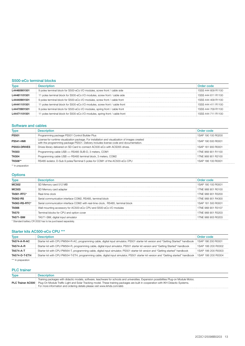#### S500-eCo terminal blocks

| <b>Type</b>  | Description                                                                  | )rder code         |
|--------------|------------------------------------------------------------------------------|--------------------|
| L44460901501 | 9 poles terminal block for S500-eCo I/O modules, screw front / cable side    | 1SSS 444 609 B1100 |
| L44461101501 | 11 poles terminal block for S500-eCo I/O modules, screw front / cable side   | 1SSS 444 611 R1100 |
| L44440901501 | 9 poles terminal block for S500-eCo I/O modules, screw front / cable front   | 1SSS 444 409 R1100 |
| L44441101501 | 11 poles terminal block for S500-eCo I/O modules, screw front / cable front  | 1SSS 444 411 R1100 |
| L44470901501 | 9 poles terminal block for S500-eCo I/O modules, spring front / cable front  | 1SSS 444 709 R1100 |
| L44471101501 | 11 poles terminal block for S500-eCo I/O modules, spring front / cable front | 1SSS 444 711 R1100 |

#### Software and cables

| <b>Type</b>      | Description                                                                                                                                                                              |                    |
|------------------|------------------------------------------------------------------------------------------------------------------------------------------------------------------------------------------|--------------------|
| <b>PS501</b>     | Programming package PS501 Control Builder Plus                                                                                                                                           | 1SAP 190 100 B0200 |
| <b>PS541-HMI</b> | License for runtime visualization package. For installation and visualization of images created<br>with the programming package PS501. Delivery includes license code and documentation. | 1SAP 190 500 B0001 |
| PS553-DRIVES     | Drives library delivered on SD Card to connect AC500-eCo with ACS355 drives.                                                                                                             | ISAP 181 900 B0001 |
| <b>TK503</b>     | Programming cable USB => RS485 SUB-D, 3 meters, COM1                                                                                                                                     | ITNE 968 901 B1100 |
| <b>TK504</b>     | Programming cable USB => RS485 terminal block, 3 meters, COM2                                                                                                                            | ITNE 968 901 B2100 |
| TK506**          | RS485 isolator, D-Sub 9 poles/Terminal 5 poles for COM1 of the AC500-eCo CPU                                                                                                             | 1SAP 186 100 B0001 |

\*\* In preparation

#### **Options**

| <b>Iype</b>      | Jescription                                                                     | Order code         |
|------------------|---------------------------------------------------------------------------------|--------------------|
| MC502            | SD Memory card 512 MB                                                           | 1SAP 180 100 R0001 |
| MC503            | SD Memory card adapter                                                          | 1TNF 968 901 B0100 |
| TA561-RTC*       | Real-time clock                                                                 | 1TNF 968 901 B3200 |
| <b>TA562-RS</b>  | Serial communication interface COM2, RS485, terminal block                      | 1TNF 968 901 B4300 |
| TA562-RS-RTC*    | Serial communication interface COM2 with real-time clock, RS485, terminal block | 1SAP 181 500 B0001 |
| <b>TA566</b>     | Wall mounting accessory for AC500-eCo CPU and S500-eCo I/O modules              | ITNF 968 901 R3107 |
| <b>TA570</b>     | Terminal blocks for CPU and option cover                                        | 1TNF 968 901 B3203 |
| <b>TA571-SIM</b> | TA571-SIM, digital input simulator                                              | TNF 968 903 B0203  |

\* Standard battery CR 2032 has to be purchased separately.

### Starter kits AC500-eCo CPU \*\*\*

| <b>Type</b>          | <b>Description</b>                                                                                                                                          | Order code            |
|----------------------|-------------------------------------------------------------------------------------------------------------------------------------------------------------|-----------------------|
| <b>TA574-A-R-AC</b>  | Starter kit with CPU PM564-R-AC, programming cable, digital input simulator, PS501 starter kit version and "Getting Started" handbook : 1SAP 186 200 R0001  |                       |
| <b>TA574-A-R</b>     | Starter kit with CPU PM564-R, programming cable, digital input simulator, PS501 starter kit version and "Getting Started" handbook                          | 1SAP 186 200 R0002    |
| <b>TA574-A-T</b>     | Starter kit with CPU PM564-T, programming cable, digital input simulator, PS501 starter kit version and "Getting started" handbook                          | 1 1 SAP 186 200 R0003 |
| <b>TA574-D-T-ETH</b> | Starter kit with CPU PM554-T-ETH, programming cable, digital input simulator, PS501 starter kit version and "Getting started" handbook   1SAP 186 200 R0004 |                       |
| *** In preparation   |                                                                                                                                                             |                       |

#### PLC trainer

| Type | Description                                                                                                                                            |
|------|--------------------------------------------------------------------------------------------------------------------------------------------------------|
|      | Training packages with didactic models, software, teachware for schools and universities. Expansion possibilities Plug-on Module Motor,                |
|      | PLC Trainer AC500 : Plug-On Module Traffic Light and Solar Tracking model. These training packages are built in cooperation with IKH Didactic Systems. |
|      | For more information and ordering details please visit www.ikhds.com/abb                                                                               |